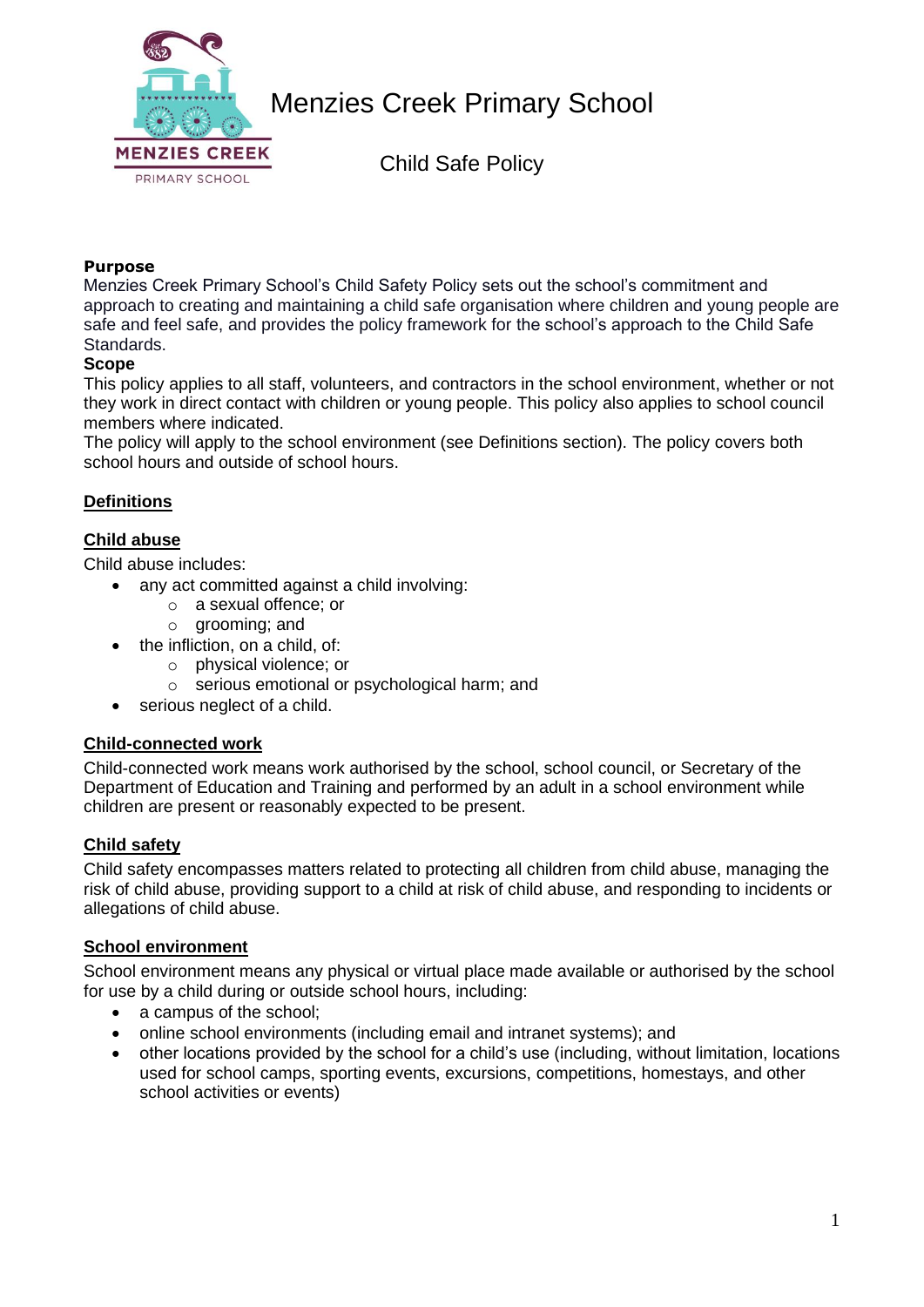

Child Safe Policy

#### **Purpose**

Menzies Creek Primary School's Child Safety Policy sets out the school's commitment and approach to creating and maintaining a child safe organisation where children and young people are safe and feel safe, and provides the policy framework for the school's approach to the Child Safe Standards.

#### **Scope**

This policy applies to all staff, volunteers, and contractors in the school environment, whether or not they work in direct contact with children or young people. This policy also applies to school council members where indicated.

The policy will apply to the school environment (see Definitions section). The policy covers both school hours and outside of school hours.

### **Definitions**

#### **Child abuse**

Child abuse includes:

- any act committed against a child involving:
	- o a sexual offence; or
	- o grooming; and
- the infliction, on a child, of:
	- o physical violence; or
	- o serious emotional or psychological harm; and
- serious neglect of a child.

#### **Child-connected work**

Child-connected work means work authorised by the school, school council, or Secretary of the Department of Education and Training and performed by an adult in a school environment while children are present or reasonably expected to be present.

#### **Child safety**

Child safety encompasses matters related to protecting all children from child abuse, managing the risk of child abuse, providing support to a child at risk of child abuse, and responding to incidents or allegations of child abuse.

#### **School environment**

School environment means any physical or virtual place made available or authorised by the school for use by a child during or outside school hours, including:

- a campus of the school:
- online school environments (including email and intranet systems); and
- other locations provided by the school for a child's use (including, without limitation, locations used for school camps, sporting events, excursions, competitions, homestays, and other school activities or events)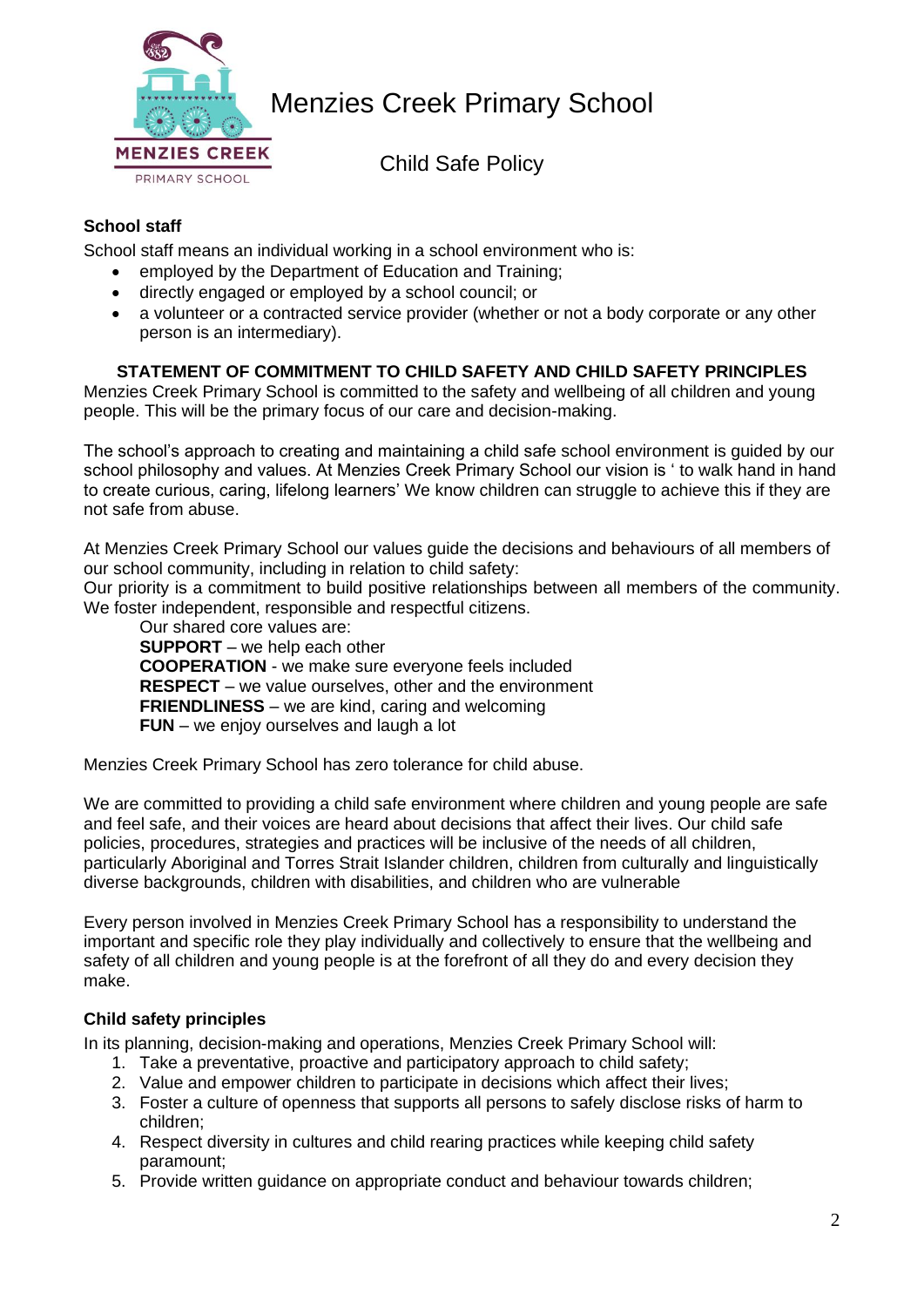

Child Safe Policy

## **School staff**

School staff means an individual working in a school environment who is:

- employed by the Department of Education and Training;
- directly engaged or employed by a school council; or
- a volunteer or a contracted service provider (whether or not a body corporate or any other person is an intermediary).

#### **STATEMENT OF COMMITMENT TO CHILD SAFETY AND CHILD SAFETY PRINCIPLES**

Menzies Creek Primary School is committed to the safety and wellbeing of all children and young people. This will be the primary focus of our care and decision-making.

The school's approach to creating and maintaining a child safe school environment is guided by our school philosophy and values. At Menzies Creek Primary School our vision is ' to walk hand in hand to create curious, caring, lifelong learners' We know children can struggle to achieve this if they are not safe from abuse.

At Menzies Creek Primary School our values guide the decisions and behaviours of all members of our school community, including in relation to child safety:

Our priority is a commitment to build positive relationships between all members of the community. We foster independent, responsible and respectful citizens.

Our shared core values are:

**SUPPORT** – we help each other **COOPERATION** - we make sure everyone feels included **RESPECT** – we value ourselves, other and the environment **FRIENDLINESS** – we are kind, caring and welcoming **FUN** – we enjoy ourselves and laugh a lot

Menzies Creek Primary School has zero tolerance for child abuse.

We are committed to providing a child safe environment where children and young people are safe and feel safe, and their voices are heard about decisions that affect their lives. Our child safe policies, procedures, strategies and practices will be inclusive of the needs of all children, particularly Aboriginal and Torres Strait Islander children, children from culturally and linguistically diverse backgrounds, children with disabilities, and children who are vulnerable

Every person involved in Menzies Creek Primary School has a responsibility to understand the important and specific role they play individually and collectively to ensure that the wellbeing and safety of all children and young people is at the forefront of all they do and every decision they make.

### **Child safety principles**

In its planning, decision-making and operations, Menzies Creek Primary School will:

- 1. Take a preventative, proactive and participatory approach to child safety;
- 2. Value and empower children to participate in decisions which affect their lives;
- 3. Foster a culture of openness that supports all persons to safely disclose risks of harm to children;
- 4. Respect diversity in cultures and child rearing practices while keeping child safety paramount;
- 5. Provide written guidance on appropriate conduct and behaviour towards children;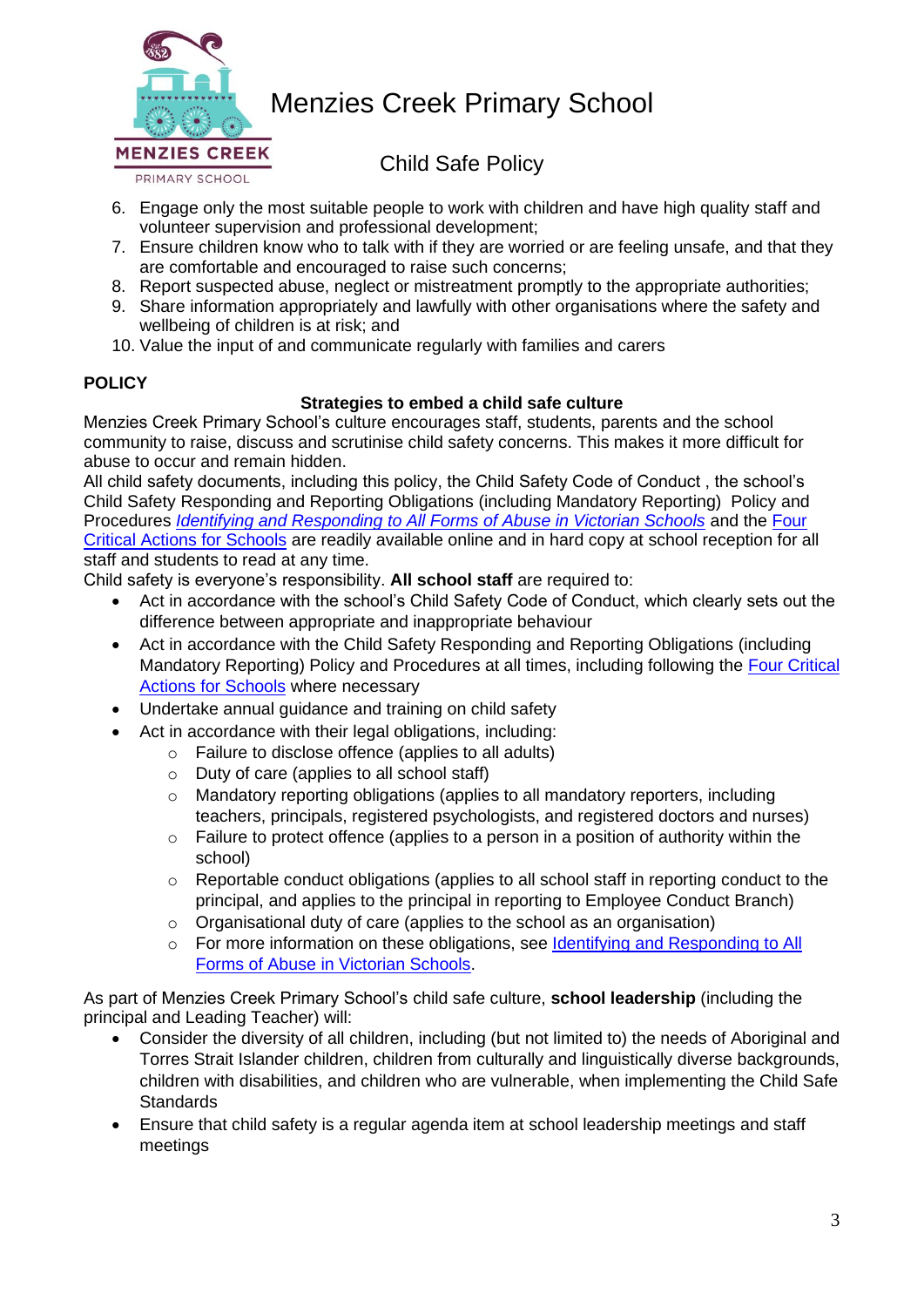

Child Safe Policy

- 6. Engage only the most suitable people to work with children and have high quality staff and volunteer supervision and professional development;
- 7. Ensure children know who to talk with if they are worried or are feeling unsafe, and that they are comfortable and encouraged to raise such concerns;
- 8. Report suspected abuse, neglect or mistreatment promptly to the appropriate authorities;
- 9. Share information appropriately and lawfully with other organisations where the safety and wellbeing of children is at risk; and
- 10. Value the input of and communicate regularly with families and carers

## **POLICY**

## **Strategies to embed a child safe culture**

Menzies Creek Primary School's culture encourages staff, students, parents and the school community to raise, discuss and scrutinise child safety concerns. This makes it more difficult for abuse to occur and remain hidden.

All child safety documents, including this policy, the Child Safety Code of Conduct , the school's Child Safety Responding and Reporting Obligations (including Mandatory Reporting) Policy and Procedures *[Identifying and Responding to All Forms of Abuse in Victorian Schools](https://www.education.vic.gov.au/Documents/about/programs/health/protect/ChildSafeStandard5_SchoolsGuide.pdf)* and the [Four](https://www.education.vic.gov.au/Documents/about/programs/health/protect/FourCriticalActions_ChildAbuse.pdf)  [Critical Actions for Schools](https://www.education.vic.gov.au/Documents/about/programs/health/protect/FourCriticalActions_ChildAbuse.pdf) are readily available online and in hard copy at school reception for all staff and students to read at any time.

Child safety is everyone's responsibility. **All school staff** are required to:

- Act in accordance with the school's Child Safety Code of Conduct, which clearly sets out the difference between appropriate and inappropriate behaviour
- Act in accordance with the Child Safety Responding and Reporting Obligations (including Mandatory Reporting) Policy and Procedures at all times, including following the [Four Critical](https://www.education.vic.gov.au/Documents/about/programs/health/protect/FourCriticalActions_ChildAbuse.pdf)  **[Actions for Schools](https://www.education.vic.gov.au/Documents/about/programs/health/protect/FourCriticalActions_ChildAbuse.pdf)** where necessary
- Undertake annual guidance and training on child safety
- Act in accordance with their legal obligations, including:
	- o Failure to disclose offence (applies to all adults)
	- o Duty of care (applies to all school staff)
	- o Mandatory reporting obligations (applies to all mandatory reporters, including teachers, principals, registered psychologists, and registered doctors and nurses)
	- o Failure to protect offence (applies to a person in a position of authority within the school)
	- $\circ$  Reportable conduct obligations (applies to all school staff in reporting conduct to the principal, and applies to the principal in reporting to Employee Conduct Branch)
	- o Organisational duty of care (applies to the school as an organisation)
	- o For more information on these obligations, see [Identifying and Responding to All](https://www.education.vic.gov.au/Documents/about/programs/health/protect/ChildSafeStandard5_SchoolsGuide.pdf)  [Forms of Abuse in Victorian Schools.](https://www.education.vic.gov.au/Documents/about/programs/health/protect/ChildSafeStandard5_SchoolsGuide.pdf)

As part of Menzies Creek Primary School's child safe culture, **school leadership** (including the principal and Leading Teacher) will:

- Consider the diversity of all children, including (but not limited to) the needs of Aboriginal and Torres Strait Islander children, children from culturally and linguistically diverse backgrounds, children with disabilities, and children who are vulnerable, when implementing the Child Safe **Standards**
- Ensure that child safety is a regular agenda item at school leadership meetings and staff meetings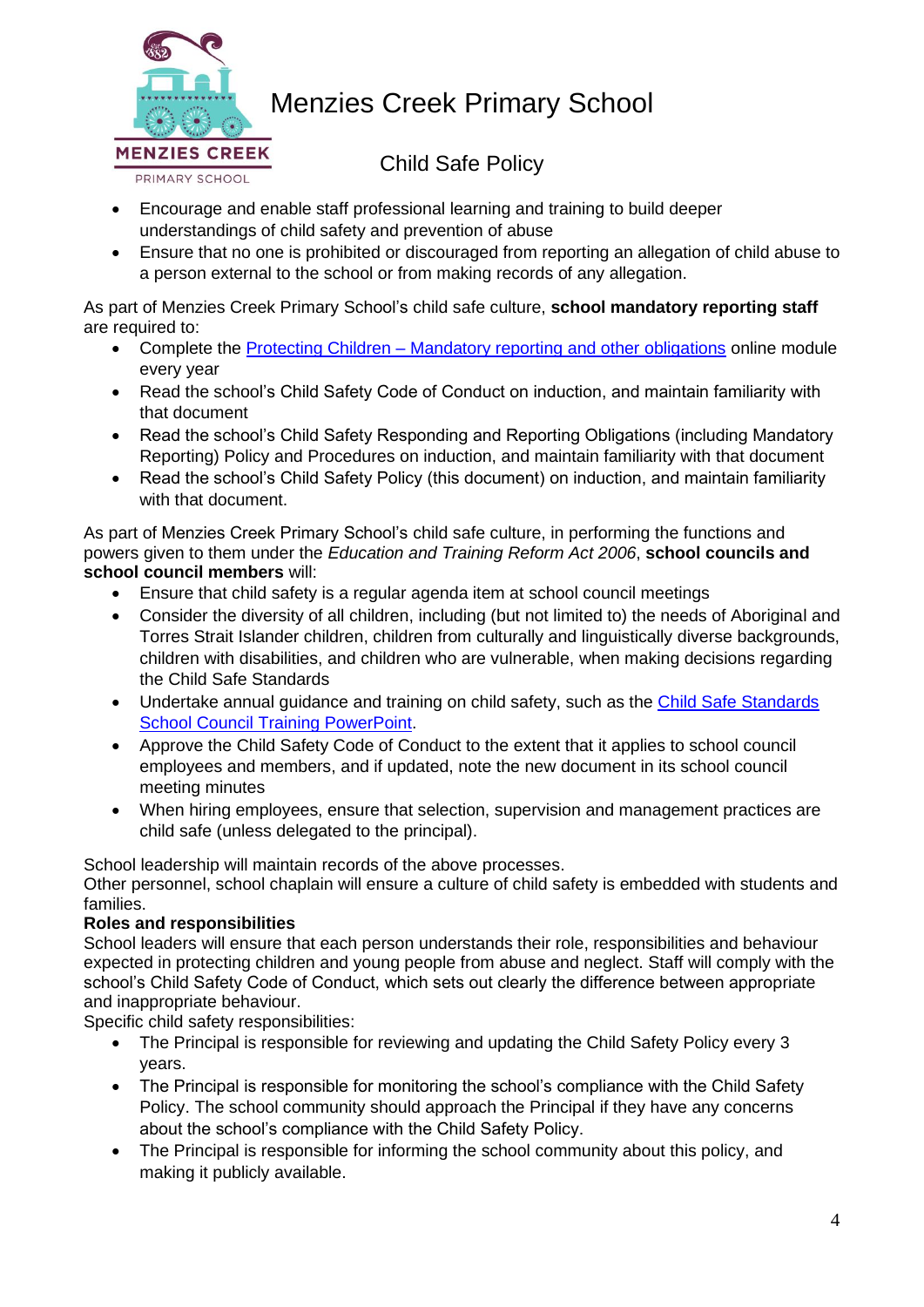

Child Safe Policy

- Encourage and enable staff professional learning and training to build deeper understandings of child safety and prevention of abuse
- Ensure that no one is prohibited or discouraged from reporting an allegation of child abuse to a person external to the school or from making records of any allegation.

As part of Menzies Creek Primary School's child safe culture, **school mandatory reporting staff** are required to:

- Complete the Protecting Children [Mandatory reporting and other obligations](http://elearn.com.au/det/protectingchildren/) online module every year
- Read the school's Child Safety Code of Conduct on induction, and maintain familiarity with that document
- Read the school's Child Safety Responding and Reporting Obligations (including Mandatory Reporting) Policy and Procedures on induction, and maintain familiarity with that document
- Read the school's Child Safety Policy (this document) on induction, and maintain familiarity with that document.

As part of Menzies Creek Primary School's child safe culture, in performing the functions and powers given to them under the *Education and Training Reform Act 2006*, **school councils and school council members** will:

- Ensure that child safety is a regular agenda item at school council meetings
- Consider the diversity of all children, including (but not limited to) the needs of Aboriginal and Torres Strait Islander children, children from culturally and linguistically diverse backgrounds, children with disabilities, and children who are vulnerable, when making decisions regarding the Child Safe Standards
- Undertake annual quidance and training on child safety, such as the Child Safe Standards [School Council Training PowerPoint.](https://www.education.vic.gov.au/Documents/about/programs/health/protect/school-council-training.pptx)
- Approve the Child Safety Code of Conduct to the extent that it applies to school council employees and members, and if updated, note the new document in its school council meeting minutes
- When hiring employees, ensure that selection, supervision and management practices are child safe (unless delegated to the principal).

School leadership will maintain records of the above processes.

Other personnel, school chaplain will ensure a culture of child safety is embedded with students and families.

### **Roles and responsibilities**

School leaders will ensure that each person understands their role, responsibilities and behaviour expected in protecting children and young people from abuse and neglect. Staff will comply with the school's Child Safety Code of Conduct, which sets out clearly the difference between appropriate and inappropriate behaviour.

Specific child safety responsibilities:

- The Principal is responsible for reviewing and updating the Child Safety Policy every 3 years.
- The Principal is responsible for monitoring the school's compliance with the Child Safety Policy. The school community should approach the Principal if they have any concerns about the school's compliance with the Child Safety Policy.
- The Principal is responsible for informing the school community about this policy, and making it publicly available.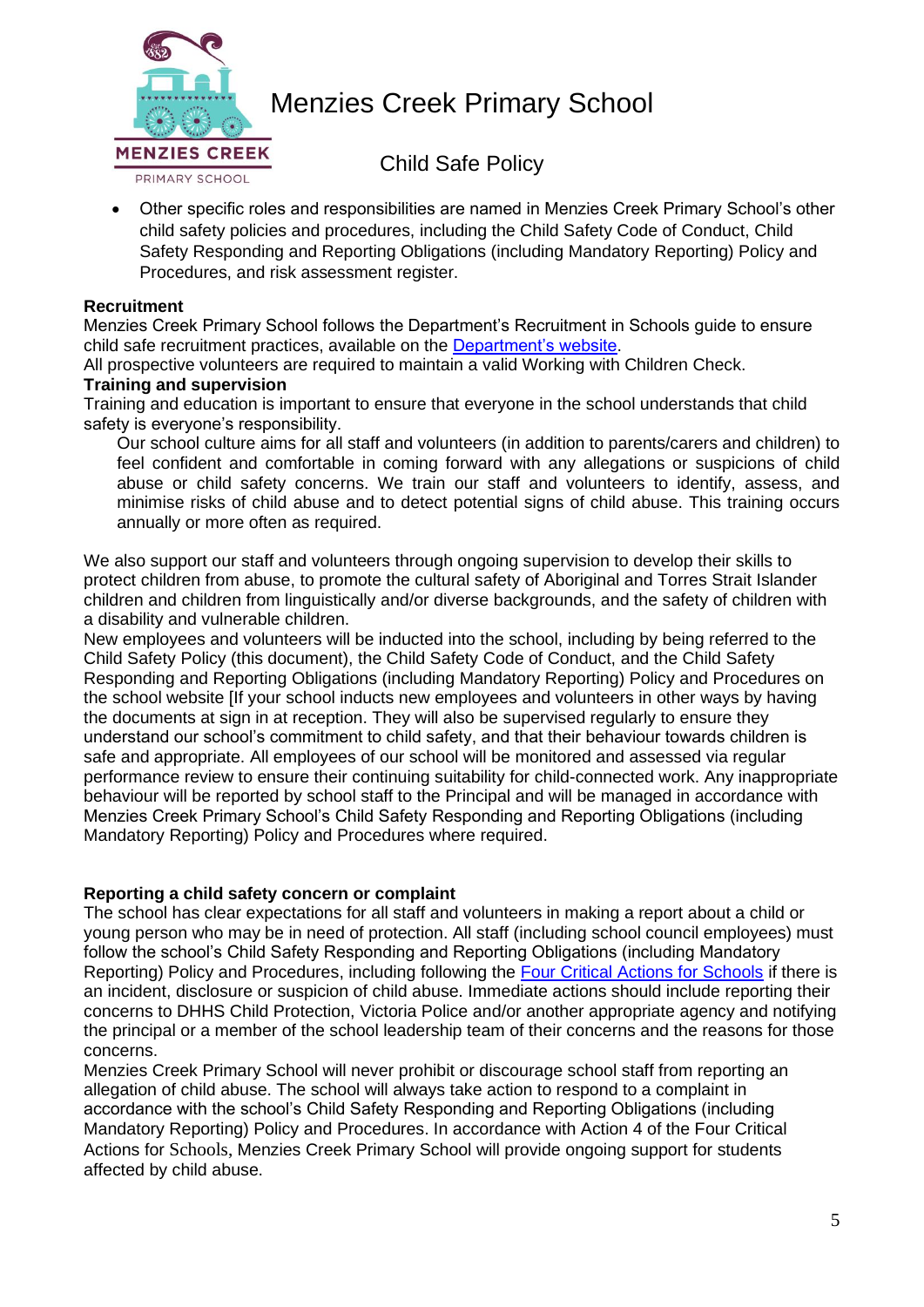

Child Safe Policy

• Other specific roles and responsibilities are named in Menzies Creek Primary School's other child safety policies and procedures, including the Child Safety Code of Conduct, Child Safety Responding and Reporting Obligations (including Mandatory Reporting) Policy and Procedures, and risk assessment register.

#### **Recruitment**

Menzies Creek Primary School follows the Department's Recruitment in Schools guide to ensure child safe recruitment practices, available on the [Department's website.](https://www.education.vic.gov.au/hrweb/careers/Pages/recruitinsch.aspx)

All prospective volunteers are required to maintain a valid Working with Children Check.

#### **Training and supervision**

Training and education is important to ensure that everyone in the school understands that child safety is everyone's responsibility.

Our school culture aims for all staff and volunteers (in addition to parents/carers and children) to feel confident and comfortable in coming forward with any allegations or suspicions of child abuse or child safety concerns. We train our staff and volunteers to identify, assess, and minimise risks of child abuse and to detect potential signs of child abuse. This training occurs annually or more often as required.

We also support our staff and volunteers through ongoing supervision to develop their skills to protect children from abuse, to promote the cultural safety of Aboriginal and Torres Strait Islander children and children from linguistically and/or diverse backgrounds, and the safety of children with a disability and vulnerable children.

New employees and volunteers will be inducted into the school, including by being referred to the Child Safety Policy (this document), the Child Safety Code of Conduct, and the Child Safety Responding and Reporting Obligations (including Mandatory Reporting) Policy and Procedures on the school website [If your school inducts new employees and volunteers in other ways by having the documents at sign in at reception. They will also be supervised regularly to ensure they understand our school's commitment to child safety, and that their behaviour towards children is safe and appropriate. All employees of our school will be monitored and assessed via regular performance review to ensure their continuing suitability for child-connected work. Any inappropriate behaviour will be reported by school staff to the Principal and will be managed in accordance with Menzies Creek Primary School's Child Safety Responding and Reporting Obligations (including Mandatory Reporting) Policy and Procedures where required.

#### **Reporting a child safety concern or complaint**

The school has clear expectations for all staff and volunteers in making a report about a child or young person who may be in need of protection. All staff (including school council employees) must follow the school's Child Safety Responding and Reporting Obligations (including Mandatory Reporting) Policy and Procedures, including following the [Four Critical Actions for Schools](https://www.education.vic.gov.au/Documents/about/programs/health/protect/FourCriticalActions_ChildAbuse.pdf) if there is an incident, disclosure or suspicion of child abuse. Immediate actions should include reporting their concerns to DHHS Child Protection, Victoria Police and/or another appropriate agency and notifying the principal or a member of the school leadership team of their concerns and the reasons for those concerns.

Menzies Creek Primary School will never prohibit or discourage school staff from reporting an allegation of child abuse. The school will always take action to respond to a complaint in accordance with the school's Child Safety Responding and Reporting Obligations (including Mandatory Reporting) Policy and Procedures. In accordance with Action 4 of the Four Critical Actions for Schools, Menzies Creek Primary School will provide ongoing support for students affected by child abuse.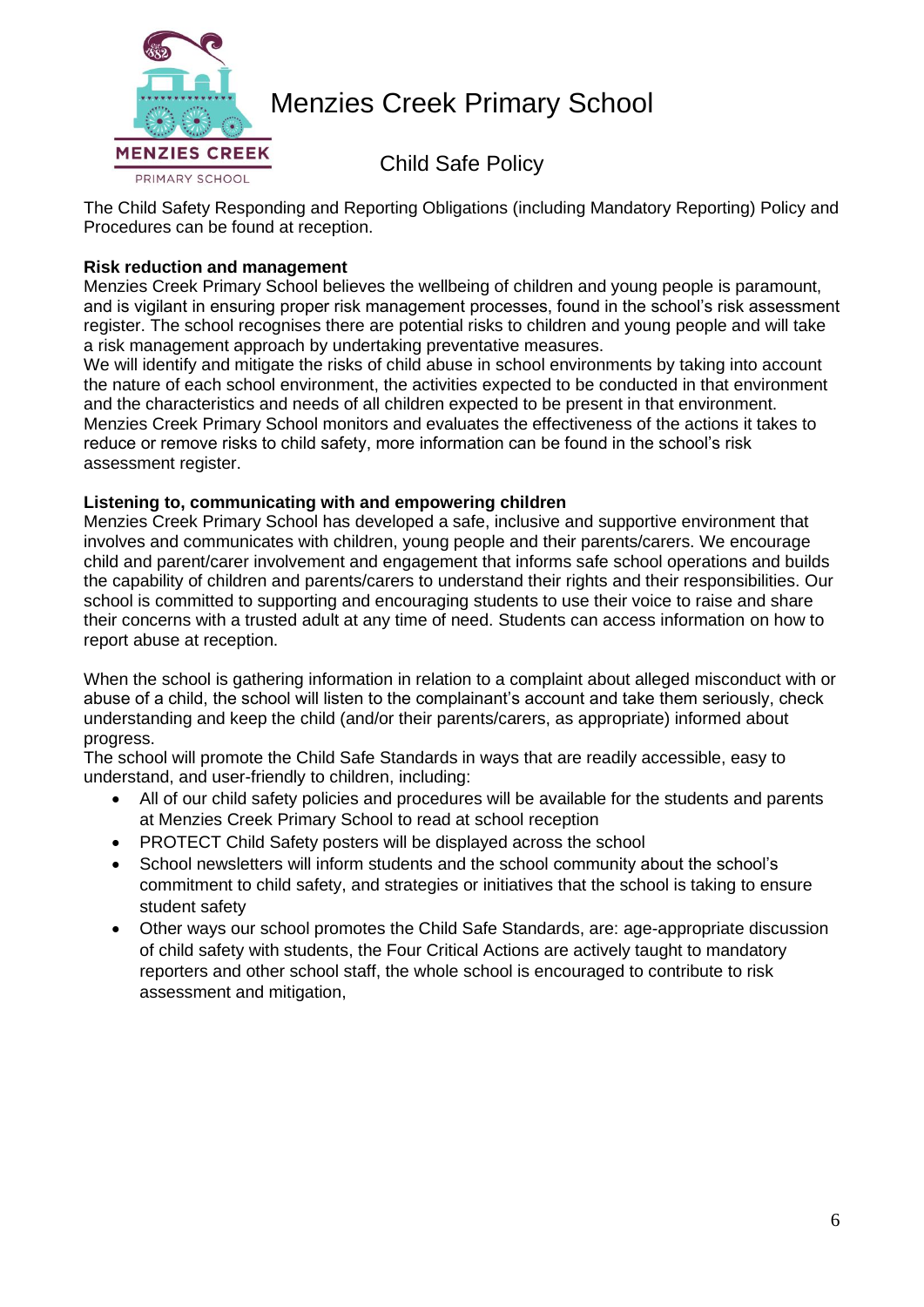

Child Safe Policy

The Child Safety Responding and Reporting Obligations (including Mandatory Reporting) Policy and Procedures can be found at reception.

## **Risk reduction and management**

Menzies Creek Primary School believes the wellbeing of children and young people is paramount, and is vigilant in ensuring proper risk management processes, found in the school's risk assessment register. The school recognises there are potential risks to children and young people and will take a risk management approach by undertaking preventative measures.

We will identify and mitigate the risks of child abuse in school environments by taking into account the nature of each school environment, the activities expected to be conducted in that environment and the characteristics and needs of all children expected to be present in that environment. Menzies Creek Primary School monitors and evaluates the effectiveness of the actions it takes to reduce or remove risks to child safety, more information can be found in the school's risk assessment register.

### **Listening to, communicating with and empowering children**

Menzies Creek Primary School has developed a safe, inclusive and supportive environment that involves and communicates with children, young people and their parents/carers. We encourage child and parent/carer involvement and engagement that informs safe school operations and builds the capability of children and parents/carers to understand their rights and their responsibilities. Our school is committed to supporting and encouraging students to use their voice to raise and share their concerns with a trusted adult at any time of need. Students can access information on how to report abuse at reception.

When the school is gathering information in relation to a complaint about alleged misconduct with or abuse of a child, the school will listen to the complainant's account and take them seriously, check understanding and keep the child (and/or their parents/carers, as appropriate) informed about progress.

The school will promote the Child Safe Standards in ways that are readily accessible, easy to understand, and user-friendly to children, including:

- All of our child safety policies and procedures will be available for the students and parents at Menzies Creek Primary School to read at school reception
- PROTECT Child Safety posters will be displayed across the school
- School newsletters will inform students and the school community about the school's commitment to child safety, and strategies or initiatives that the school is taking to ensure student safety
- Other ways our school promotes the Child Safe Standards, are: age-appropriate discussion of child safety with students, the Four Critical Actions are actively taught to mandatory reporters and other school staff, the whole school is encouraged to contribute to risk assessment and mitigation,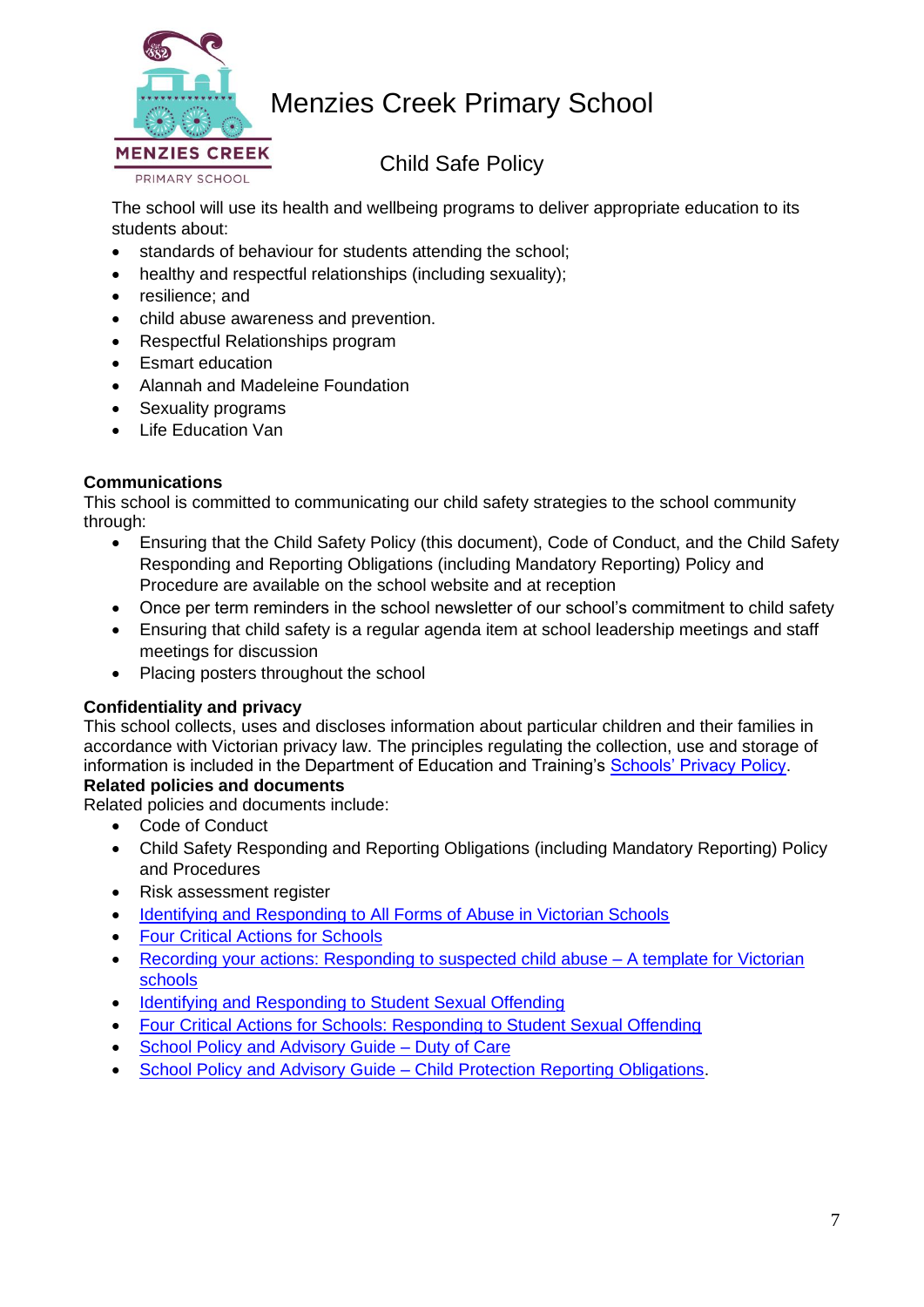

Child Safe Policy

The school will use its health and wellbeing programs to deliver appropriate education to its students about:

- standards of behaviour for students attending the school;
- healthy and respectful relationships (including sexuality):
- resilience; and
- child abuse awareness and prevention.
- Respectful Relationships program
- Esmart education
- Alannah and Madeleine Foundation
- Sexuality programs
- Life Education Van

### **Communications**

This school is committed to communicating our child safety strategies to the school community through:

- Ensuring that the Child Safety Policy (this document), Code of Conduct, and the Child Safety Responding and Reporting Obligations (including Mandatory Reporting) Policy and Procedure are available on the school website and at reception
- Once per term reminders in the school newsletter of our school's commitment to child safety
- Ensuring that child safety is a regular agenda item at school leadership meetings and staff meetings for discussion
- Placing posters throughout the school

### **Confidentiality and privacy**

This school collects, uses and discloses information about particular children and their families in accordance with Victorian privacy law. The principles regulating the collection, use and storage of information is included in the Department of Education and Training's [Schools' Privacy Policy.](https://www.education.vic.gov.au/Pages/schoolsprivacypolicy.aspx)

**Related policies and documents**

Related policies and documents include:

- Code of Conduct
- Child Safety Responding and Reporting Obligations (including Mandatory Reporting) Policy and Procedures
- Risk assessment register
- [Identifying and Responding to All Forms of Abuse in Victorian Schools](https://www.education.vic.gov.au/Documents/about/programs/health/protect/ChildSafeStandard5_SchoolsGuide.pdf)
- [Four Critical Actions for Schools](https://www.education.vic.gov.au/Documents/about/programs/health/protect/FourCriticalActions_ChildAbuse.pdf)
- [Recording your actions: Responding to suspected child abuse –](https://www.education.vic.gov.au/Documents/about/programs/health/protect/PROTECT_Schoolstemplate.pdf) A template for Victorian [schools](https://www.education.vic.gov.au/Documents/about/programs/health/protect/PROTECT_Schoolstemplate.pdf)
- [Identifying and Responding to Student Sexual Offending](https://www.education.vic.gov.au/Documents/about/programs/health/protect/SSO_Policy.pdf)
- [Four Critical Actions for Schools: Responding to Student Sexual Offending](https://www.education.vic.gov.au/Documents/about/programs/health/protect/FourCriticalActions_SSO.pdf)
- [School Policy and Advisory Guide –](https://www.education.vic.gov.au/school/principals/spag/safety/Pages/dutyofcare.aspx) Duty of Care
- School Policy and Advisory Guide [Child Protection Reporting Obligations.](https://www.education.vic.gov.au/school/principals/spag/safety/Pages/childprotectobligation.aspx)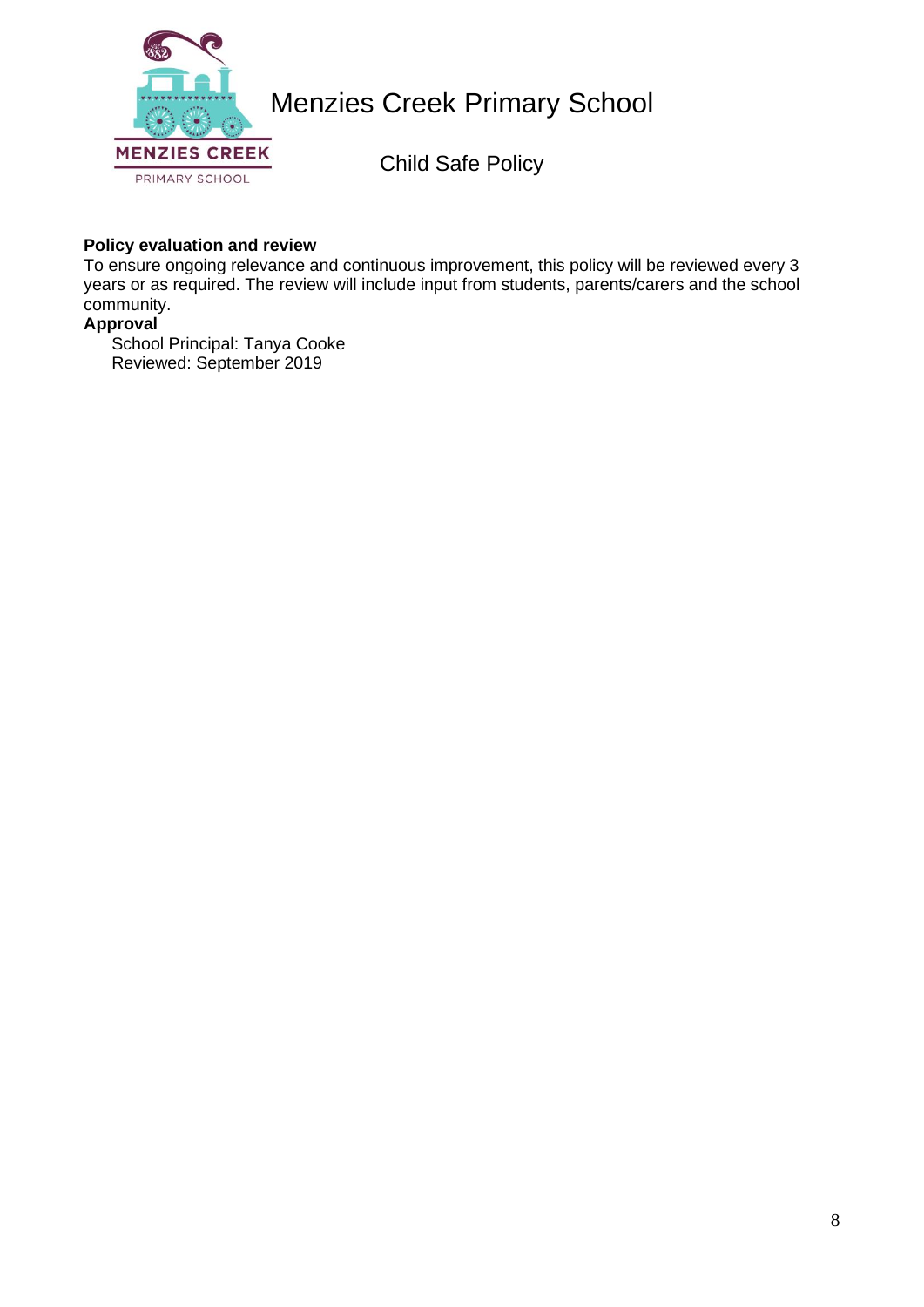

Child Safe Policy

#### **Policy evaluation and review**

To ensure ongoing relevance and continuous improvement, this policy will be reviewed every 3 years or as required. The review will include input from students, parents/carers and the school community.

#### **Approval**

School Principal: Tanya Cooke Reviewed: September 2019